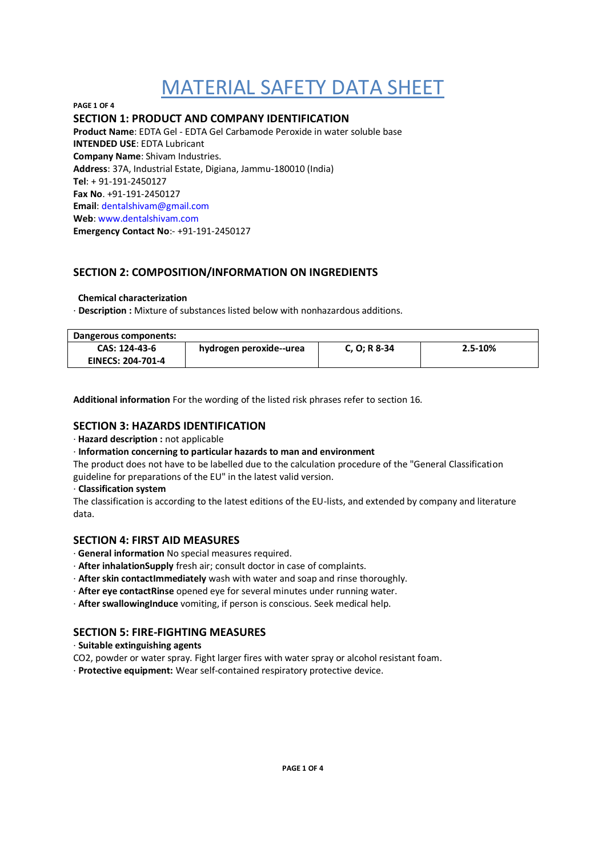**PAGE 1 OF 4 SECTION 1: PRODUCT AND COMPANY IDENTIFICATION Product Name**: EDTA Gel - EDTA Gel Carbamode Peroxide in water soluble base **INTENDED USE**: EDTA Lubricant **Company Name**: Shivam Industries. **Address**: 37A, Industrial Estate, Digiana, Jammu-180010 (India) **Tel**: + 91-191-2450127 **Fax No**. +91-191-2450127 **Email**: dentalshivam@gmail.com **Web**: www.dentalshivam.com **Emergency Contact No**:- +91-191-2450127

# **SECTION 2: COMPOSITION/INFORMATION ON INGREDIENTS**

### **Chemical characterization**

· **Description :** Mixture of substances listed below with nonhazardous additions.

| Dangerous components:                     |                         |              |             |
|-------------------------------------------|-------------------------|--------------|-------------|
| CAS: 124-43-6<br><b>EINECS: 204-701-4</b> | hydrogen peroxide--urea | C, O; R 8-34 | $2.5 - 10%$ |
|                                           |                         |              |             |

**Additional information** For the wording of the listed risk phrases refer to section 16.

## **SECTION 3: HAZARDS IDENTIFICATION**

#### · **Hazard description :** not applicable

· **Information concerning to particular hazards to man and environment**

The product does not have to be labelled due to the calculation procedure of the "General Classification guideline for preparations of the EU" in the latest valid version.

#### · **Classification system**

The classification is according to the latest editions of the EU-lists, and extended by company and literature data.

## **SECTION 4: FIRST AID MEASURES**

- · **General information** No special measures required.
- · **After inhalationSupply** fresh air; consult doctor in case of complaints.
- · **After skin contactImmediately** wash with water and soap and rinse thoroughly.
- · **After eye contactRinse** opened eye for several minutes under running water.
- · **After swallowingInduce** vomiting, if person is conscious. Seek medical help.

## **SECTION 5: FIRE-FIGHTING MEASURES**

#### · **Suitable extinguishing agents**

- CO2, powder or water spray. Fight larger fires with water spray or alcohol resistant foam.
- · **Protective equipment:** Wear self-contained respiratory protective device.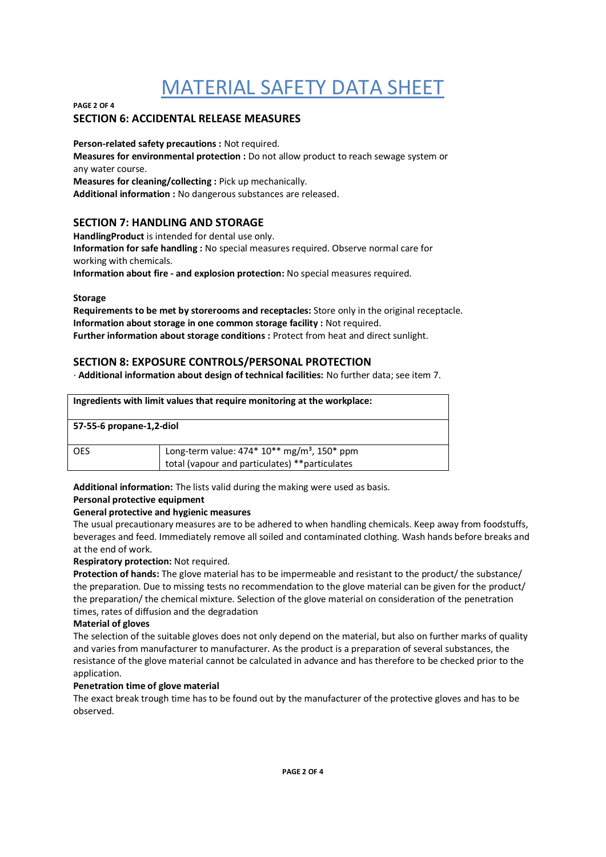#### **PAGE 2 OF 4**

## **SECTION 6: ACCIDENTAL RELEASE MEASURES**

**Person-related safety precautions :** Not required.

**Measures for environmental protection :** Do not allow product to reach sewage system or any water course.

**Measures for cleaning/collecting :** Pick up mechanically.

**Additional information :** No dangerous substances are released.

## **SECTION 7: HANDLING AND STORAGE**

**HandlingProduct** is intended for dental use only. **Information for safe handling :** No special measures required. Observe normal care for working with chemicals.

**Information about fire - and explosion protection:** No special measures required.

#### **Storage**

**Requirements to be met by storerooms and receptacles:** Store only in the original receptacle. **Information about storage in one common storage facility :** Not required. Further information about storage conditions : Protect from heat and direct sunlight.

## **SECTION 8: EXPOSURE CONTROLS/PERSONAL PROTECTION**

*·* **Additional information about design of technical facilities:** No further data; see item 7.

| Ingredients with limit values that require monitoring at the workplace: |                                                                                                            |  |
|-------------------------------------------------------------------------|------------------------------------------------------------------------------------------------------------|--|
| 57-55-6 propane-1,2-diol                                                |                                                                                                            |  |
| <b>OES</b>                                                              | Long-term value: $474*10**$ mg/m <sup>3</sup> , 150* ppm<br>total (vapour and particulates) **particulates |  |

**Additional information:** The lists valid during the making were used as basis.

#### **Personal protective equipment**

#### **General protective and hygienic measures**

The usual precautionary measures are to be adhered to when handling chemicals. Keep away from foodstuffs, beverages and feed. Immediately remove all soiled and contaminated clothing. Wash hands before breaks and at the end of work.

#### **Respiratory protection:** Not required.

**Protection of hands:** The glove material has to be impermeable and resistant to the product/ the substance/ the preparation. Due to missing tests no recommendation to the glove material can be given for the product/ the preparation/ the chemical mixture. Selection of the glove material on consideration of the penetration times, rates of diffusion and the degradation

#### **Material of gloves**

The selection of the suitable gloves does not only depend on the material, but also on further marks of quality and varies from manufacturer to manufacturer. As the product is a preparation of several substances, the resistance of the glove material cannot be calculated in advance and has therefore to be checked prior to the application.

## **Penetration time of glove material**

The exact break trough time has to be found out by the manufacturer of the protective gloves and has to be observed.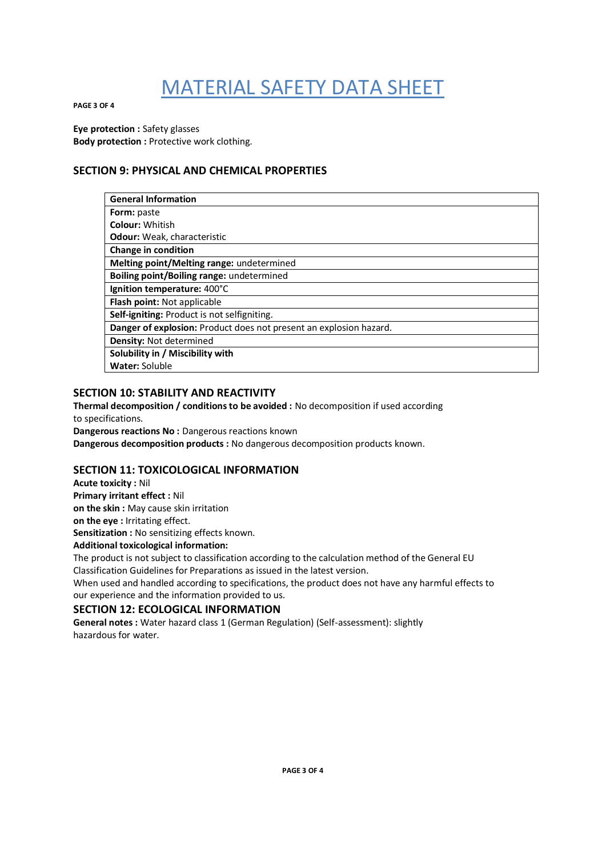**PAGE 3 OF 4**

**Eye protection :** Safety glasses **Body protection : Protective work clothing.** 

# **SECTION 9: PHYSICAL AND CHEMICAL PROPERTIES**

| <b>General Information</b>                                         |
|--------------------------------------------------------------------|
| Form: paste                                                        |
| <b>Colour: Whitish</b>                                             |
| <b>Odour:</b> Weak, characteristic                                 |
| <b>Change in condition</b>                                         |
| Melting point/Melting range: undetermined                          |
| <b>Boiling point/Boiling range:</b> undetermined                   |
| Ignition temperature: 400°C                                        |
| <b>Flash point: Not applicable</b>                                 |
| Self-igniting: Product is not selfigniting.                        |
| Danger of explosion: Product does not present an explosion hazard. |
| <b>Density: Not determined</b>                                     |
| Solubility in / Miscibility with                                   |
| <b>Water: Soluble</b>                                              |

# **SECTION 10: STABILITY AND REACTIVITY**

**Thermal decomposition / conditions to be avoided :** No decomposition if used according to specifications. **Dangerous reactions No :** Dangerous reactions known

**Dangerous decomposition products :** No dangerous decomposition products known.

# **SECTION 11: TOXICOLOGICAL INFORMATION**

**Acute toxicity :** Nil **Primary irritant effect :** Nil **on the skin :** May cause skin irritation **on the eye :** Irritating effect. **Sensitization :** No sensitizing effects known.

**Additional toxicological information:**

The product is not subject to classification according to the calculation method of the General EU Classification Guidelines for Preparations as issued in the latest version.

When used and handled according to specifications, the product does not have any harmful effects to our experience and the information provided to us.

# **SECTION 12: ECOLOGICAL INFORMATION**

**General notes :** Water hazard class 1 (German Regulation) (Self-assessment): slightly hazardous for water.